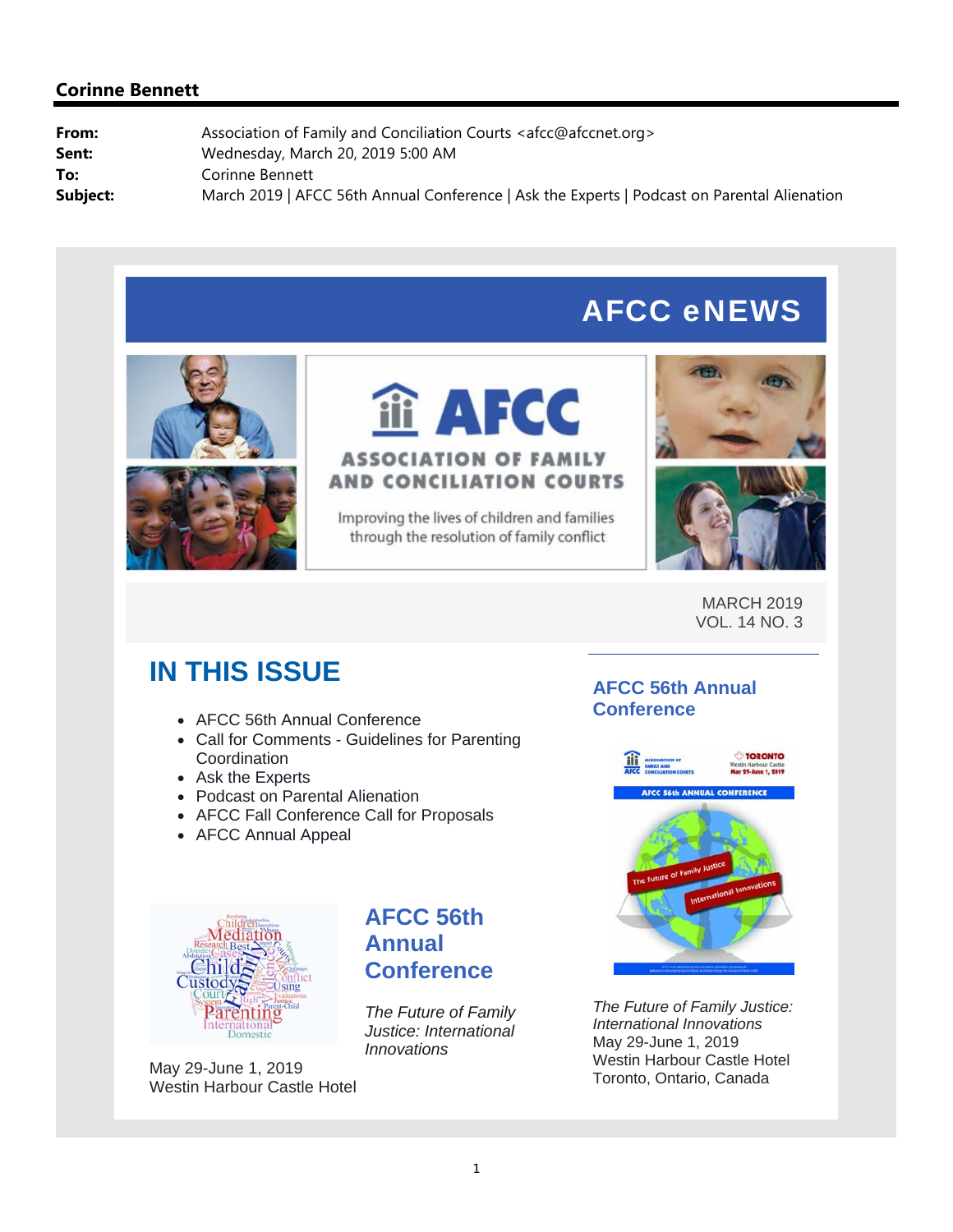# AFCC eNEWS





# **i** AFCC **ASSOCIATION OF FAMILY AND CONCILIATION COURTS**

Improving the lives of children and families through the resolution of family conflict





MARCH 2019 VOL. 14 NO. 3

# **IN THIS ISSUE**

- AFCC 56th Annual Conference
- Call for Comments Guidelines for Parenting **Coordination**
- Ask the Experts
- Podcast on Parental Alienation
- AFCC Fall Conference Call for Proposals
- AFCC Annual Appeal

# **AFCC 56th Annual Conference**



*The Future of Family Justice: International Innovations* May 29-June 1, 2019 Westin Harbour Castle Hotel Toronto, Ontario, Canada



May 29-June 1, 2019 Westin Harbour Castle Hotel

# **AFCC 56th Annual Conference**

*The Future of Family Justice: International Innovations*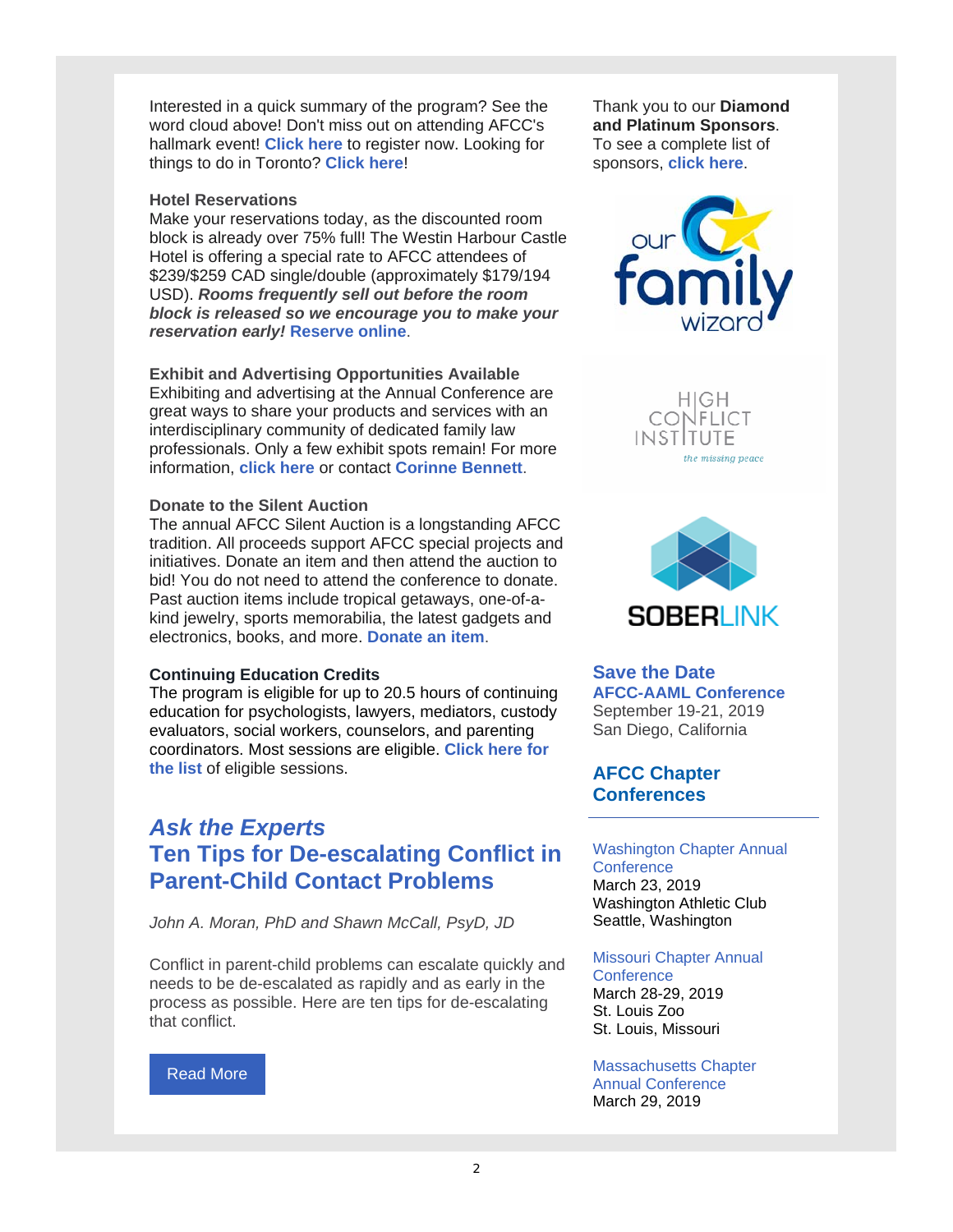Interested in a quick summary of the program? See the word cloud above! Don't miss out on attending AFCC's hallmark event! **Click here** to register now. Looking for things to do in Toronto? **Click here**!

#### **Hotel Reservations**

Make your reservations today, as the discounted room block is already over 75% full! The Westin Harbour Castle Hotel is offering a special rate to AFCC attendees of \$239/\$259 CAD single/double (approximately \$179/194 USD). *Rooms frequently sell out before the room block is released so we encourage you to make your reservation early!* **Reserve online**.

**Exhibit and Advertising Opportunities Available**

Exhibiting and advertising at the Annual Conference are great ways to share your products and services with an interdisciplinary community of dedicated family law professionals. Only a few exhibit spots remain! For more information, **click here** or contact **Corinne Bennett**.

#### **Donate to the Silent Auction**

The annual AFCC Silent Auction is a longstanding AFCC tradition. All proceeds support AFCC special projects and initiatives. Donate an item and then attend the auction to bid! You do not need to attend the conference to donate. Past auction items include tropical getaways, one-of-akind jewelry, sports memorabilia, the latest gadgets and electronics, books, and more. **Donate an item**.

#### **Continuing Education Credits**

The program is eligible for up to 20.5 hours of continuing education for psychologists, lawyers, mediators, custody evaluators, social workers, counselors, and parenting coordinators. Most sessions are eligible. **Click here for the list** of eligible sessions.

# *Ask the Experts* **Ten Tips for De-escalating Conflict in Parent-Child Contact Problems**

*John A. Moran, PhD and Shawn McCall, PsyD, JD*

Conflict in parent-child problems can escalate quickly and needs to be de-escalated as rapidly and as early in the process as possible. Here are ten tips for de-escalating that conflict.

#### Read More

Thank you to our **Diamond and Platinum Sponsors**. To see a complete list of sponsors, **click here**.



HIGH **CONFLICT INSTITUTE** the missing peace



### **Save the Date**

**AFCC-AAML Conference** September 19-21, 2019 San Diego, California

### **AFCC Chapter Conferences**

#### Washington Chapter Annual **Conference** March 23, 2019 Washington Athletic Club

Seattle, Washington

#### Missouri Chapter Annual

**Conference** March 28-29, 2019 St. Louis Zoo St. Louis, Missouri

Massachusetts Chapter Annual Conference March 29, 2019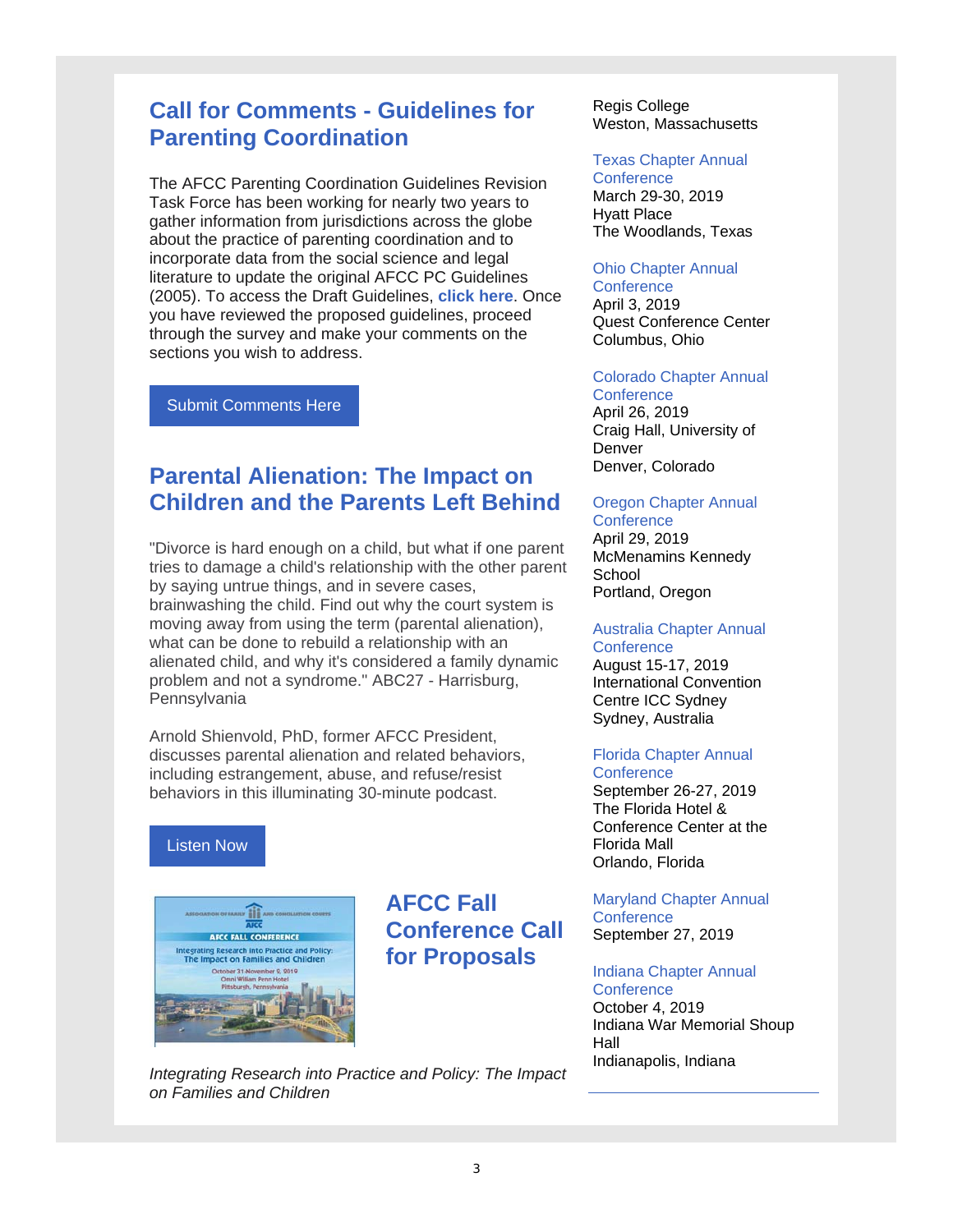# **Call for Comments - Guidelines for Parenting Coordination**

The AFCC Parenting Coordination Guidelines Revision Task Force has been working for nearly two years to gather information from jurisdictions across the globe about the practice of parenting coordination and to incorporate data from the social science and legal literature to update the original AFCC PC Guidelines (2005). To access the Draft Guidelines, **click here**. Once you have reviewed the proposed guidelines, proceed through the survey and make your comments on the sections you wish to address.

Submit Comments Here

# **Parental Alienation: The Impact on Children and the Parents Left Behind**

"Divorce is hard enough on a child, but what if one parent tries to damage a child's relationship with the other parent by saying untrue things, and in severe cases, brainwashing the child. Find out why the court system is moving away from using the term (parental alienation), what can be done to rebuild a relationship with an alienated child, and why it's considered a family dynamic problem and not a syndrome." ABC27 - Harrisburg, **Pennsylvania** 

Arnold Shienvold, PhD, former AFCC President, discusses parental alienation and related behaviors, including estrangement, abuse, and refuse/resist behaviors in this illuminating 30-minute podcast.

### Listen Now



**AFCC Fall Conference Call for Proposals**

Regis College Weston, Massachusetts

#### Texas Chapter Annual

**Conference** March 29-30, 2019 Hyatt Place The Woodlands, Texas

#### Ohio Chapter Annual

**Conference** April 3, 2019 Quest Conference Center Columbus, Ohio

Colorado Chapter Annual **Conference** 

April 26, 2019 Craig Hall, University of Denver Denver, Colorado

#### Oregon Chapter Annual **Conference**

April 29, 2019 McMenamins Kennedy **School** Portland, Oregon

#### Australia Chapter Annual **Conference**

August 15-17, 2019 International Convention Centre ICC Sydney Sydney, Australia

#### Florida Chapter Annual **Conference**

September 26-27, 2019 The Florida Hotel & Conference Center at the Florida Mall Orlando, Florida

#### Maryland Chapter Annual **Conference** September 27, 2019

#### Indiana Chapter Annual **Conference**

October 4, 2019 Indiana War Memorial Shoup Hall Indianapolis, Indiana

*Integrating Research into Practice and Policy: The Impact on Families and Children*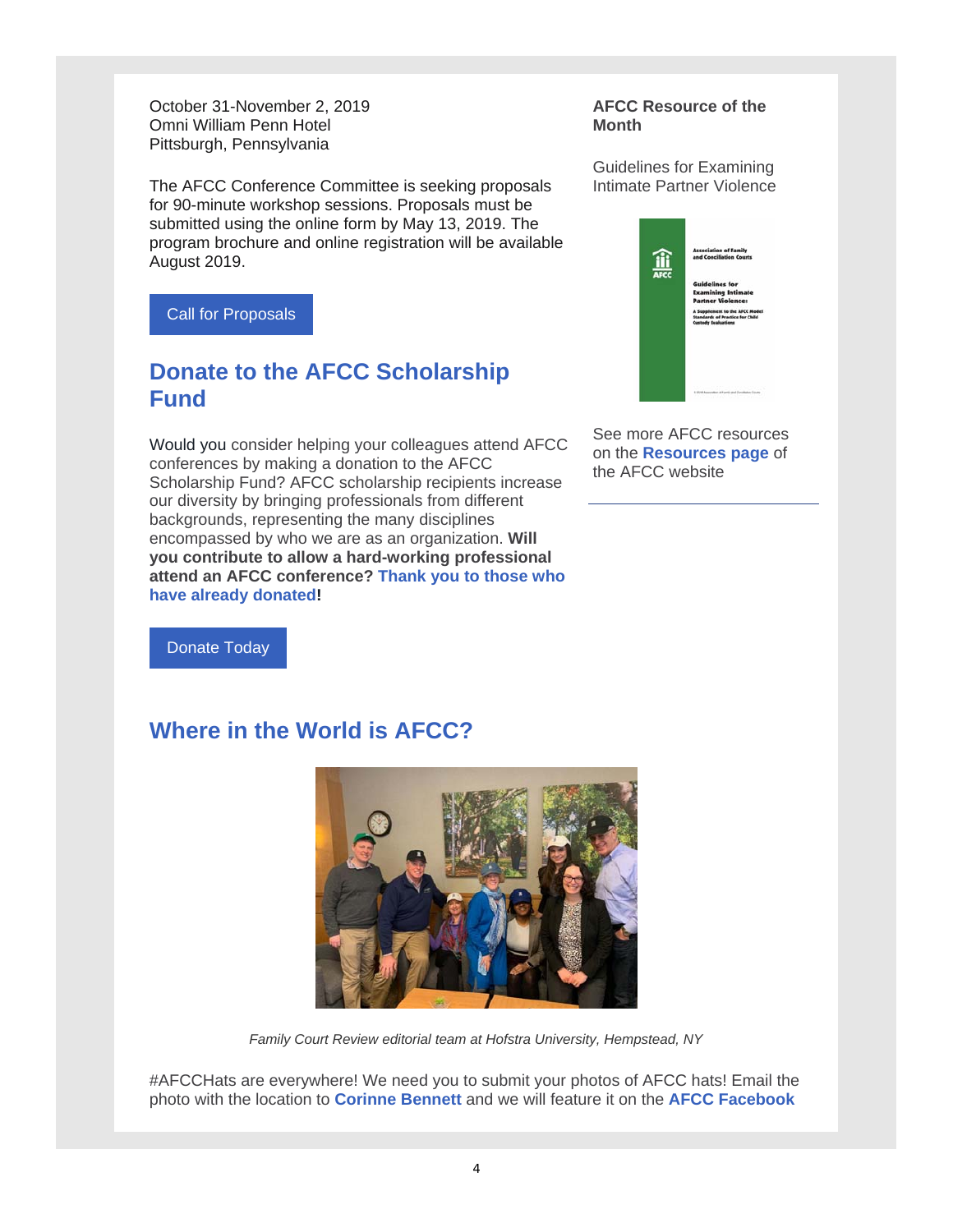October 31-November 2, 2019 Omni William Penn Hotel Pittsburgh, Pennsylvania

The AFCC Conference Committee is seeking proposals for 90-minute workshop sessions. Proposals must be submitted using the online form by May 13, 2019. The program brochure and online registration will be available August 2019.

Call for Proposals

# **Donate to the AFCC Scholarship Fund**

Would you consider helping your colleagues attend AFCC conferences by making a donation to the AFCC Scholarship Fund? AFCC scholarship recipients increase our diversity by bringing professionals from different backgrounds, representing the many disciplines encompassed by who we are as an organization. **Will you contribute to allow a hard-working professional attend an AFCC conference? Thank you to those who have already donated!** 

Donate Today

# **Where in the World is AFCC?**



*Family Court Review editorial team at Hofstra University, Hempstead, NY*

#AFCCHats are everywhere! We need you to submit your photos of AFCC hats! Email the photo with the location to **Corinne Bennett** and we will feature it on the **AFCC Facebook** 

#### **AFCC Resource of the Month**

Guidelines for Examining Intimate Partner Violence



See more AFCC resources on the **Resources page** of the AFCC website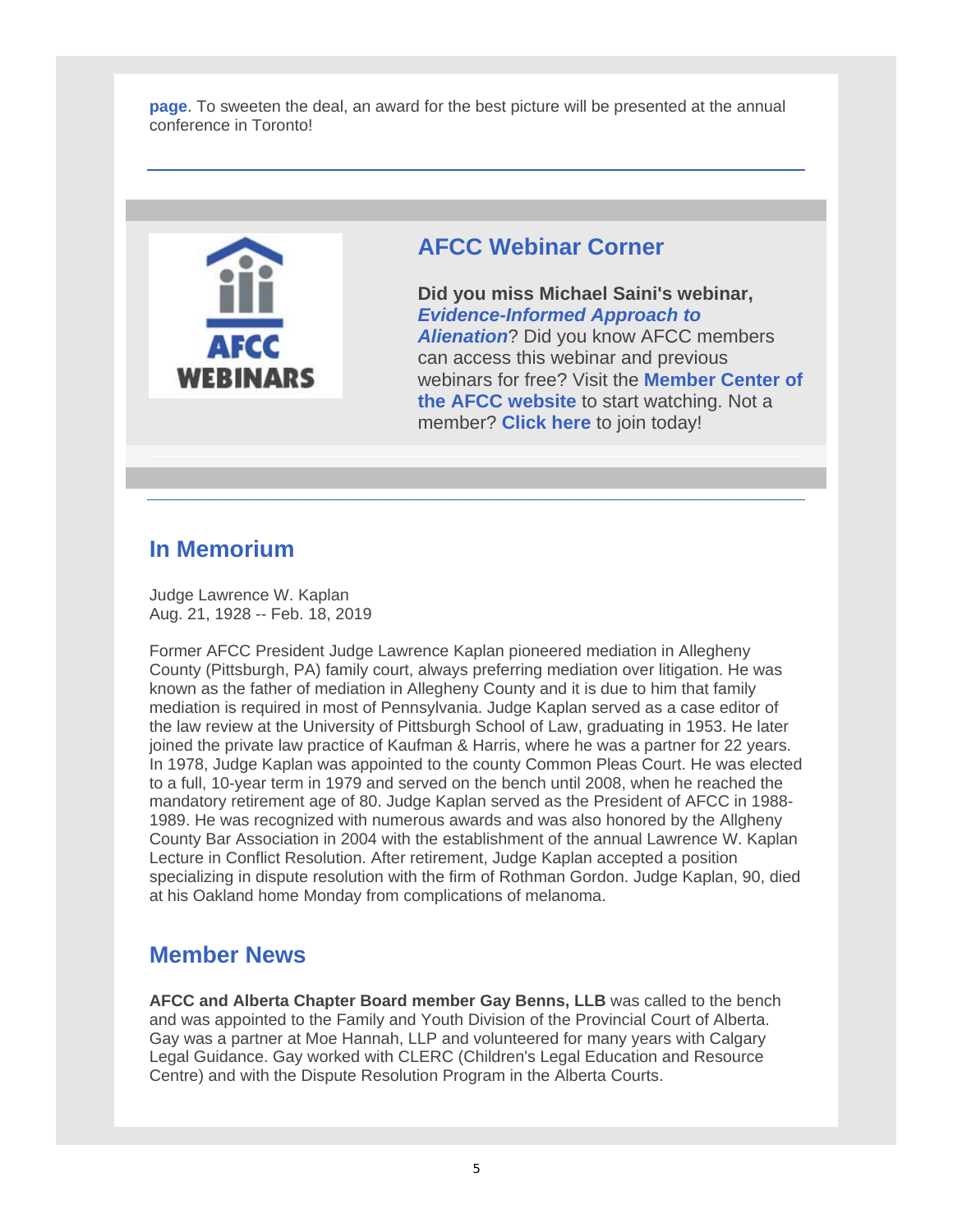**page**. To sweeten the deal, an award for the best picture will be presented at the annual conference in Toronto!



# **AFCC Webinar Corner**

**Did you miss Michael Saini's webinar,**  *Evidence-Informed Approach to Alienation*? Did you know AFCC members can access this webinar and previous webinars for free? Visit the **Member Center of the AFCC website** to start watching. Not a member? **Click here** to join today!

# **In Memorium**

Judge Lawrence W. Kaplan Aug. 21, 1928 -- Feb. 18, 2019

Former AFCC President Judge Lawrence Kaplan pioneered mediation in Allegheny County (Pittsburgh, PA) family court, always preferring mediation over litigation. He was known as the father of mediation in Allegheny County and it is due to him that family mediation is required in most of Pennsylvania. Judge Kaplan served as a case editor of the law review at the University of Pittsburgh School of Law, graduating in 1953. He later joined the private law practice of Kaufman & Harris, where he was a partner for 22 years. In 1978, Judge Kaplan was appointed to the county Common Pleas Court. He was elected to a full, 10-year term in 1979 and served on the bench until 2008, when he reached the mandatory retirement age of 80. Judge Kaplan served as the President of AFCC in 1988- 1989. He was recognized with numerous awards and was also honored by the Allgheny County Bar Association in 2004 with the establishment of the annual Lawrence W. Kaplan Lecture in Conflict Resolution. After retirement, Judge Kaplan accepted a position specializing in dispute resolution with the firm of Rothman Gordon. Judge Kaplan, 90, died at his Oakland home Monday from complications of melanoma.

# **Member News**

**AFCC and Alberta Chapter Board member Gay Benns, LLB** was called to the bench and was appointed to the Family and Youth Division of the Provincial Court of Alberta. Gay was a partner at Moe Hannah, LLP and volunteered for many years with Calgary Legal Guidance. Gay worked with CLERC (Children's Legal Education and Resource Centre) and with the Dispute Resolution Program in the Alberta Courts.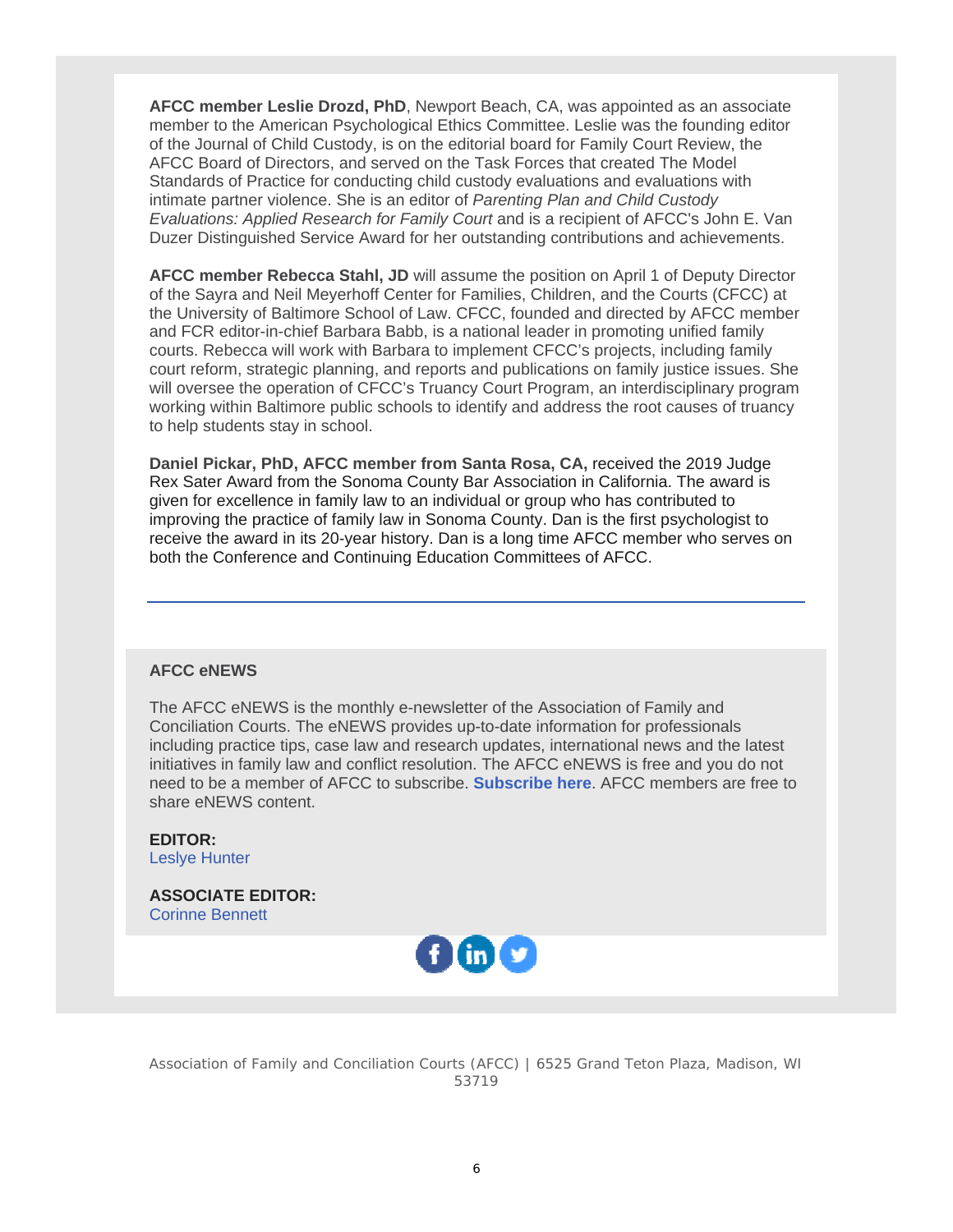**AFCC member Leslie Drozd, PhD**, Newport Beach, CA, was appointed as an associate member to the American Psychological Ethics Committee. Leslie was the founding editor of the Journal of Child Custody, is on the editorial board for Family Court Review, the AFCC Board of Directors, and served on the Task Forces that created The Model Standards of Practice for conducting child custody evaluations and evaluations with intimate partner violence. She is an editor of *Parenting Plan and Child Custody Evaluations: Applied Research for Family Court* and is a recipient of AFCC's John E. Van Duzer Distinguished Service Award for her outstanding contributions and achievements.

**AFCC member Rebecca Stahl, JD** will assume the position on April 1 of Deputy Director of the Sayra and Neil Meyerhoff Center for Families, Children, and the Courts (CFCC) at the University of Baltimore School of Law. CFCC, founded and directed by AFCC member and FCR editor-in-chief Barbara Babb, is a national leader in promoting unified family courts. Rebecca will work with Barbara to implement CFCC's projects, including family court reform, strategic planning, and reports and publications on family justice issues. She will oversee the operation of CFCC's Truancy Court Program, an interdisciplinary program working within Baltimore public schools to identify and address the root causes of truancy to help students stay in school.

**Daniel Pickar, PhD, AFCC member from Santa Rosa, CA,** received the 2019 Judge Rex Sater Award from the Sonoma County Bar Association in California. The award is given for excellence in family law to an individual or group who has contributed to improving the practice of family law in Sonoma County. Dan is the first psychologist to receive the award in its 20-year history. Dan is a long time AFCC member who serves on both the Conference and Continuing Education Committees of AFCC.

#### **AFCC eNEWS**

The AFCC eNEWS is the monthly e-newsletter of the Association of Family and Conciliation Courts. The eNEWS provides up-to-date information for professionals including practice tips, case law and research updates, international news and the latest initiatives in family law and conflict resolution. The AFCC eNEWS is free and you do not need to be a member of AFCC to subscribe. **Subscribe here**. AFCC members are free to share eNEWS content.

**EDITOR:** Leslye Hunter

**ASSOCIATE EDITOR:** Corinne Bennett



Association of Family and Conciliation Courts (AFCC) | 6525 Grand Teton Plaza, Madison, WI 53719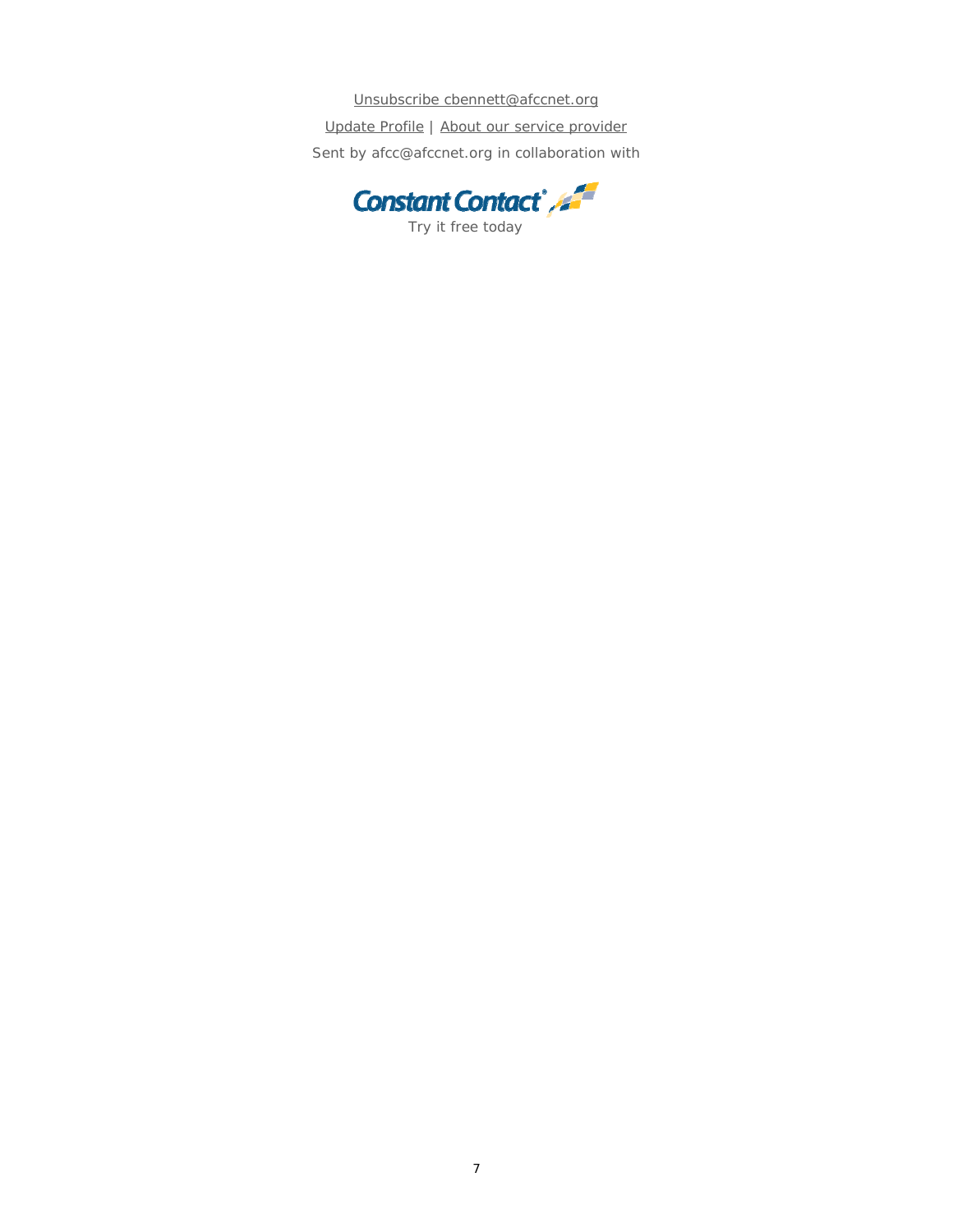Unsubscribe cbennett@afccnet.org Update Profile | About our service provider Sent by afcc@afccnet.org in collaboration with

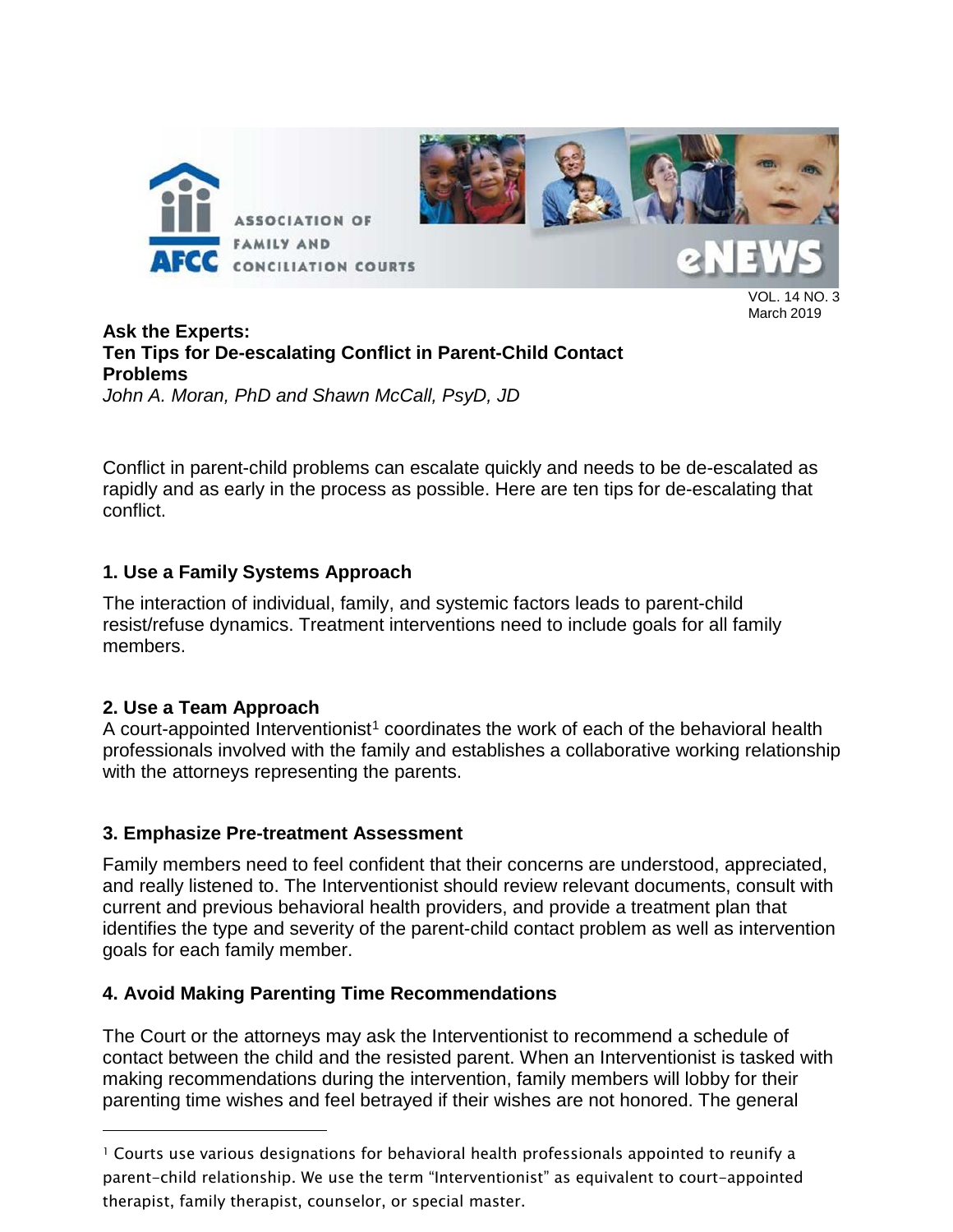

#### VOL. 14 NO. 3 March 2019

### **Ask the Experts: Ten Tips for De-escalating Conflict in Parent-Child Contact Problems** *John A. Moran, PhD and Shawn McCall, PsyD, JD*

Conflict in parent-child problems can escalate quickly and needs to be de-escalated as rapidly and as early in the process as possible. Here are ten tips for de-escalating that conflict.

# **1. Use a Family Systems Approach**

The interaction of individual, family, and systemic factors leads to parent-child resist/refuse dynamics. Treatment interventions need to include goals for all family members.

# **2. Use a Team Approach**

A court-appointed Interventionist<sup>[1](#page-7-0)</sup> coordinates the work of each of the behavioral health professionals involved with the family and establishes a collaborative working relationship with the attorneys representing the parents.

# **3. Emphasize Pre-treatment Assessment**

Family members need to feel confident that their concerns are understood, appreciated, and really listened to. The Interventionist should review relevant documents, consult with current and previous behavioral health providers, and provide a treatment plan that identifies the type and severity of the parent-child contact problem as well as intervention goals for each family member.

# **4. Avoid Making Parenting Time Recommendations**

The Court or the attorneys may ask the Interventionist to recommend a schedule of contact between the child and the resisted parent. When an Interventionist is tasked with making recommendations during the intervention, family members will lobby for their parenting time wishes and feel betrayed if their wishes are not honored. The general

<span id="page-7-0"></span><sup>1</sup> Courts use various designations for behavioral health professionals appointed to reunify a parent-child relationship. We use the term "Interventionist" as equivalent to court-appointed therapist, family therapist, counselor, or special master.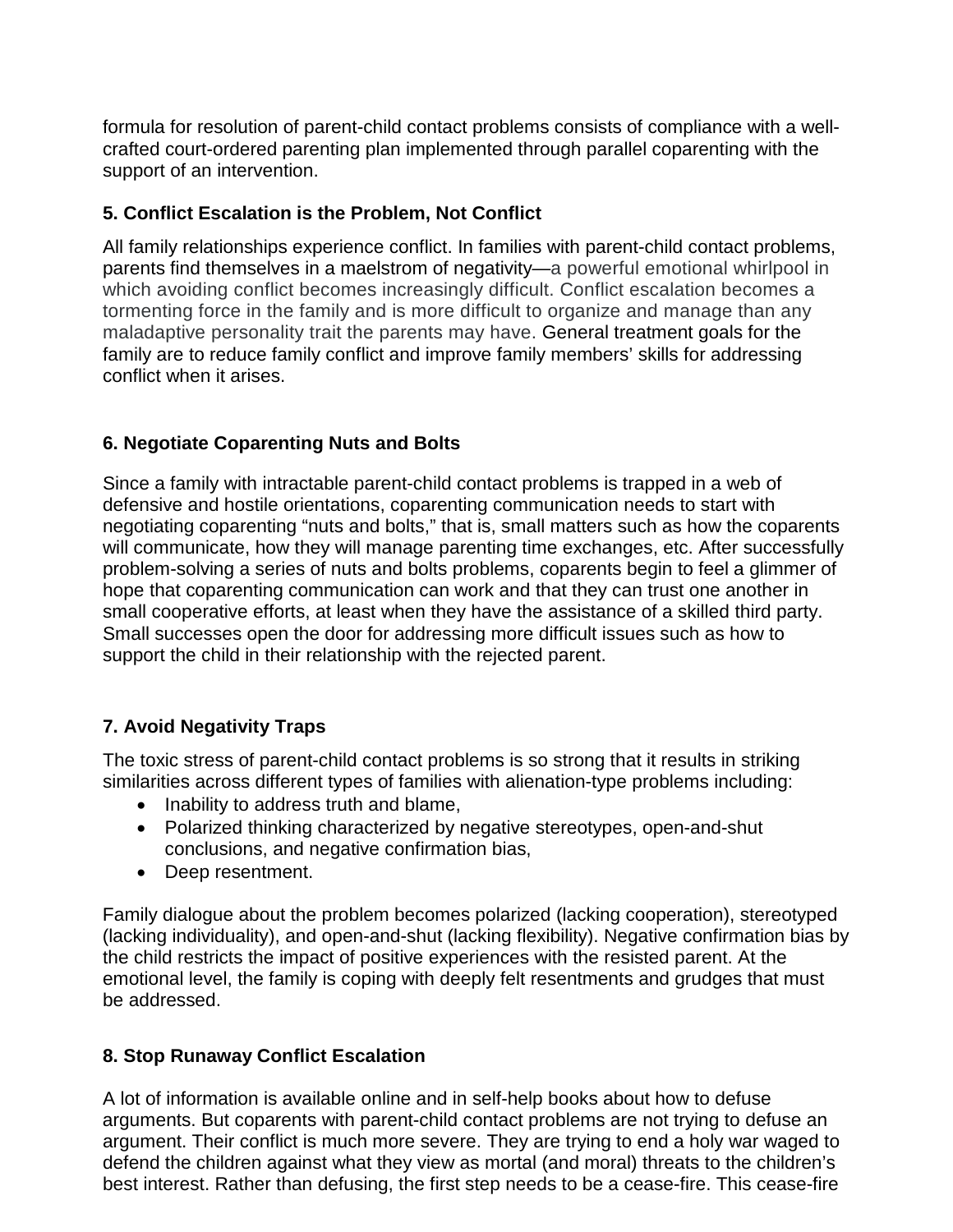formula for resolution of parent-child contact problems consists of compliance with a wellcrafted court-ordered parenting plan implemented through parallel coparenting with the support of an intervention.

### **5. Conflict Escalation is the Problem, Not Conflict**

All family relationships experience conflict. In families with parent-child contact problems, parents find themselves in a maelstrom of negativity—a powerful emotional whirlpool in which avoiding conflict becomes increasingly difficult. Conflict escalation becomes a tormenting force in the family and is more difficult to organize and manage than any maladaptive personality trait the parents may have. General treatment goals for the family are to reduce family conflict and improve family members' skills for addressing conflict when it arises.

# **6. Negotiate Coparenting Nuts and Bolts**

Since a family with intractable parent-child contact problems is trapped in a web of defensive and hostile orientations, coparenting communication needs to start with negotiating coparenting "nuts and bolts," that is, small matters such as how the coparents will communicate, how they will manage parenting time exchanges, etc. After successfully problem-solving a series of nuts and bolts problems, coparents begin to feel a glimmer of hope that coparenting communication can work and that they can trust one another in small cooperative efforts, at least when they have the assistance of a skilled third party. Small successes open the door for addressing more difficult issues such as how to support the child in their relationship with the rejected parent.

# **7. Avoid Negativity Traps**

The toxic stress of parent-child contact problems is so strong that it results in striking similarities across different types of families with alienation-type problems including:

- Inability to address truth and blame,
- Polarized thinking characterized by negative stereotypes, open-and-shut conclusions, and negative confirmation bias,
- Deep resentment.

Family dialogue about the problem becomes polarized (lacking cooperation), stereotyped (lacking individuality), and open-and-shut (lacking flexibility). Negative confirmation bias by the child restricts the impact of positive experiences with the resisted parent. At the emotional level, the family is coping with deeply felt resentments and grudges that must be addressed.

# **8. Stop Runaway Conflict Escalation**

A lot of information is available online and in self-help books about how to defuse arguments. But coparents with parent-child contact problems are not trying to defuse an argument. Their conflict is much more severe. They are trying to end a holy war waged to defend the children against what they view as mortal (and moral) threats to the children's best interest. Rather than defusing, the first step needs to be a cease-fire. This cease-fire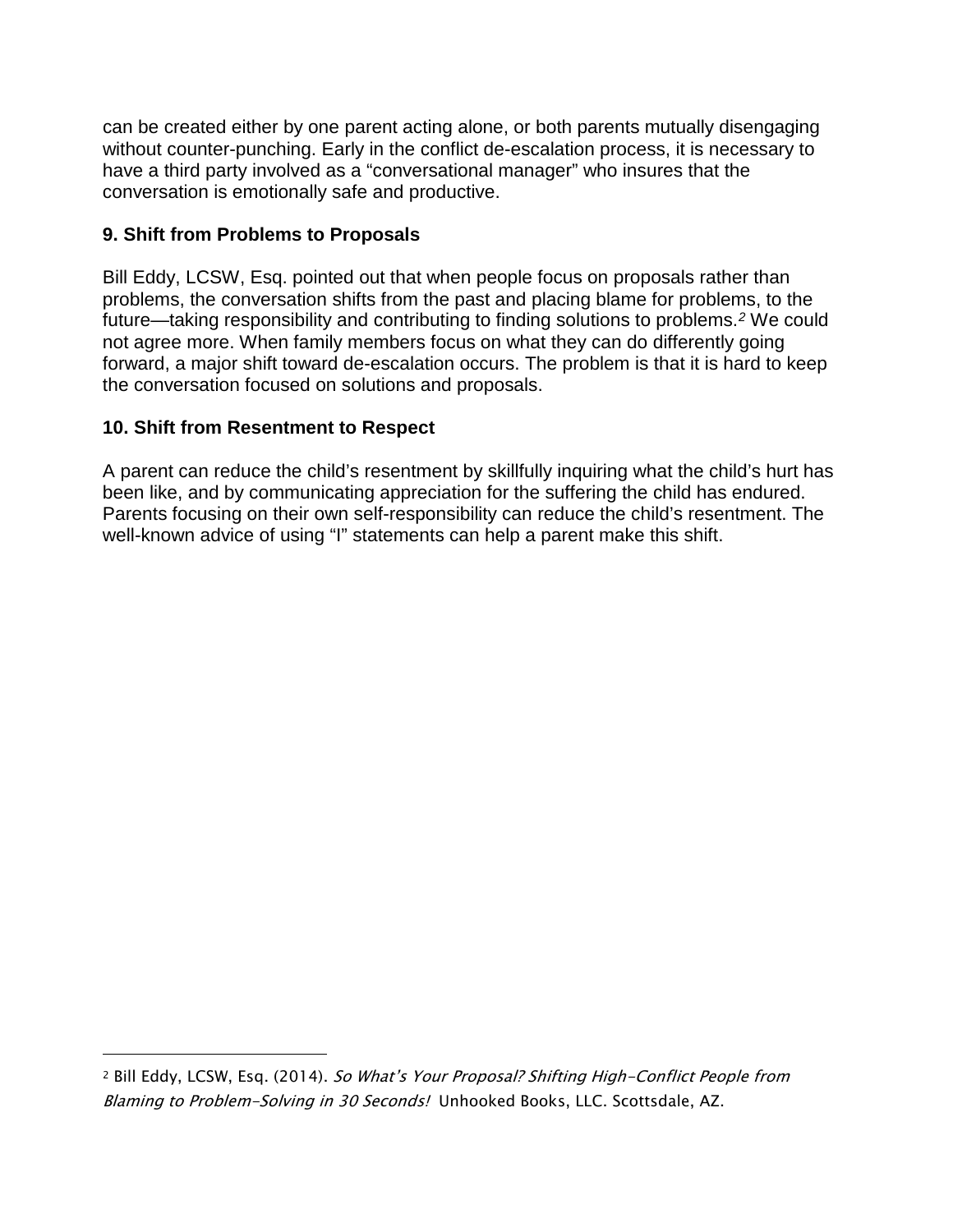can be created either by one parent acting alone, or both parents mutually disengaging without counter-punching. Early in the conflict de-escalation process, it is necessary to have a third party involved as a "conversational manager" who insures that the conversation is emotionally safe and productive.

### **9. Shift from Problems to Proposals**

Bill Eddy, LCSW, Esq. pointed out that when people focus on proposals rather than problems, the conversation shifts from the past and placing blame for problems, to the future—taking responsibility and contributing to finding solutions to problems.*[2](#page-9-0)* We could not agree more. When family members focus on what they can do differently going forward, a major shift toward de-escalation occurs. The problem is that it is hard to keep the conversation focused on solutions and proposals.

# **10. Shift from Resentment to Respect**

A parent can reduce the child's resentment by skillfully inquiring what the child's hurt has been like, and by communicating appreciation for the suffering the child has endured. Parents focusing on their own self-responsibility can reduce the child's resentment. The well-known advice of using "I" statements can help a parent make this shift.

<span id="page-9-0"></span><sup>&</sup>lt;sup>2</sup> Bill Eddy, LCSW, Esq. (2014). So What's Your Proposal? Shifting High-Conflict People from Blaming to Problem-Solving in 30 Seconds! Unhooked Books, LLC. Scottsdale, AZ.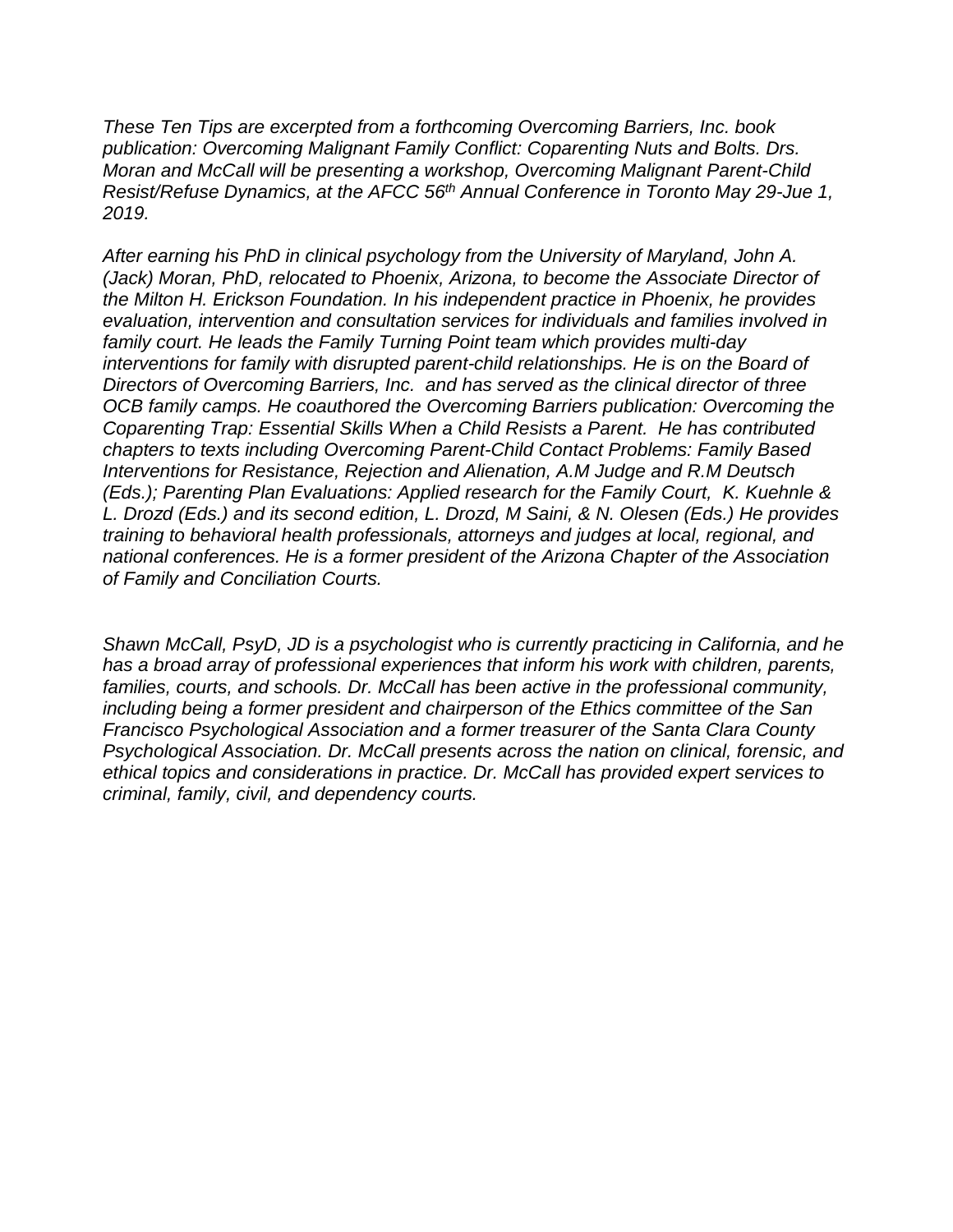*These Ten Tips are excerpted from a forthcoming Overcoming Barriers, Inc. book publication: Overcoming Malignant Family Conflict: Coparenting Nuts and Bolts. Drs. Moran and McCall will be presenting a workshop, Overcoming Malignant Parent-Child Resist/Refuse Dynamics, at the AFCC 56th Annual Conference in Toronto May 29-Jue 1, 2019.*

*After earning his PhD in clinical psychology from the University of Maryland, John A. (Jack) Moran, PhD, relocated to Phoenix, Arizona, to become the Associate Director of the Milton H. Erickson Foundation. In his independent practice in Phoenix, he provides evaluation, intervention and consultation services for individuals and families involved in family court. He leads the Family Turning Point team which provides multi-day interventions for family with disrupted parent-child relationships. He is on the Board of Directors of Overcoming Barriers, Inc. and has served as the clinical director of three OCB family camps. He coauthored the Overcoming Barriers publication: Overcoming the Coparenting Trap: Essential Skills When a Child Resists a Parent. He has contributed chapters to texts including Overcoming Parent-Child Contact Problems: Family Based Interventions for Resistance, Rejection and Alienation, A.M Judge and R.M Deutsch (Eds.); Parenting Plan Evaluations: Applied research for the Family Court, K. Kuehnle & L. Drozd (Eds.) and its second edition, L. Drozd, M Saini, & N. Olesen (Eds.) He provides training to behavioral health professionals, attorneys and judges at local, regional, and national conferences. He is a former president of the Arizona Chapter of the Association of Family and Conciliation Courts.*

*Shawn McCall, PsyD, JD is a psychologist who is currently practicing in California, and he has a broad array of professional experiences that inform his work with children, parents, families, courts, and schools. Dr. McCall has been active in the professional community, including being a former president and chairperson of the Ethics committee of the San Francisco Psychological Association and a former treasurer of the Santa Clara County Psychological Association. Dr. McCall presents across the nation on clinical, forensic, and ethical topics and considerations in practice. Dr. McCall has provided expert services to criminal, family, civil, and dependency courts.*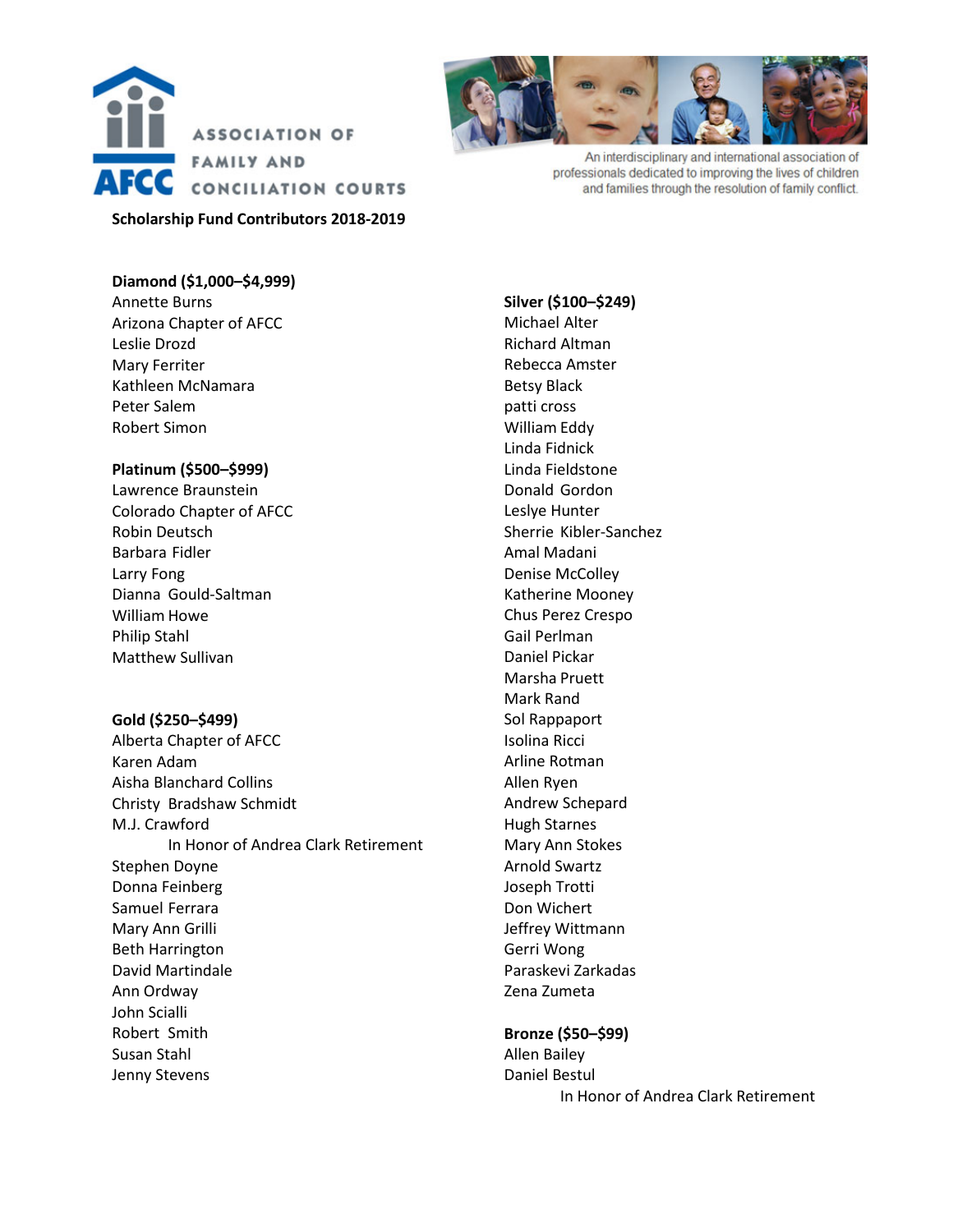



An interdisciplinary and international association of professionals dedicated to improving the lives of children and families through the resolution of family conflict.

### **Diamond (\$1,000–\$4,999)**

Annette Burns Arizona Chapter of AFCC Leslie Drozd Mary Ferriter Kathleen McNamara Peter Salem Robert Simon

#### **Platinum (\$500–\$999)**

Lawrence Braunstein Colorado Chapter of AFCC Robin Deutsch Barbara Fidler Larry Fong Dianna Gould-Saltman William Howe Philip Stahl Matthew Sullivan

#### **Gold (\$250–\$499)**

Alberta Chapter of AFCC Karen Adam Aisha Blanchard Collins Christy Bradshaw Schmidt M.J. Crawford In Honor of Andrea Clark Retirement Stephen Doyne Donna Feinberg Samuel Ferrara Mary Ann Grilli Beth Harrington David Martindale Ann Ordway John Scialli Robert Smith Susan Stahl Jenny Stevens

**Silver (\$100–\$249)** Michael Alter Richard Altman Rebecca Amster Betsy Black patti cross William Eddy Linda Fidnick Linda Fieldstone Donald Gordon Leslye Hunter Sherrie Kibler-Sanchez Amal Madani Denise McColley Katherine Mooney Chus Perez Crespo Gail Perlman Daniel Pickar Marsha Pruett Mark Rand Sol Rappaport Isolina Ricci Arline Rotman Allen Ryen Andrew Schepard Hugh Starnes Mary Ann Stokes Arnold Swartz Joseph Trotti Don Wichert Jeffrey Wittmann Gerri Wong Paraskevi Zarkadas Zena Zumeta

#### **Bronze (\$50–\$99)**

Allen Bailey Daniel Bestul In Honor of Andrea Clark Retirement